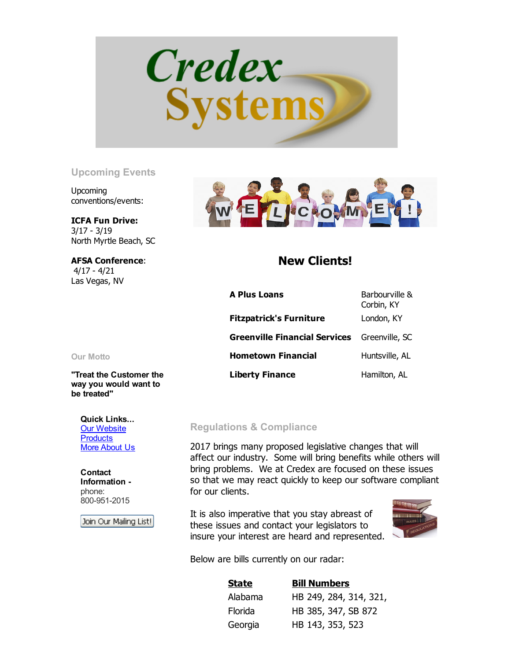

## Upcoming Events

Upcoming conventions/events:

ICFA Fun Drive:  $3/17 - 3/19$ North Myrtle Beach, SC

AFSA Conference:  $4/17 - 4/21$ Las Vegas, NV



## New Clients!

| <b>A Plus Loans</b>                  | Barbourville &<br>Corbin, KY |
|--------------------------------------|------------------------------|
| <b>Fitzpatrick's Furniture</b>       | London, KY                   |
| <b>Greenville Financial Services</b> | Greenville, SC               |
| <b>Hometown Financial</b>            | Huntsville, AL               |
| <b>Liberty Finance</b>               | Hamilton, AL                 |

Our Motto

"Treat the Customer the way you would want to be treated"

Quick Links... **[Our Website](http://www.credexsystems.com/) [Products](http://www.credexsystems.com/products.php) [More About Us](http://www.credexsystems.com/about-us.php)** 

Contact Information phone: 800-951-2015

Join Our Mailing List!

## Regulations & Compliance

2017 brings many proposed legislative changes that will affect our industry. Some will bring benefits while others will bring problems. We at Credex are focused on these issues so that we may react quickly to keep our software compliant for our clients.

It is also imperative that you stay abreast of these issues and contact your legislators to insure your interest are heard and represented.



Below are bills currently on our radar:

| <u>State</u>   | <b>Bill Numbers</b>    |
|----------------|------------------------|
| Alabama        | HB 249, 284, 314, 321, |
| <b>Florida</b> | HB 385, 347, SB 872    |
| Georgia        | HB 143, 353, 523       |